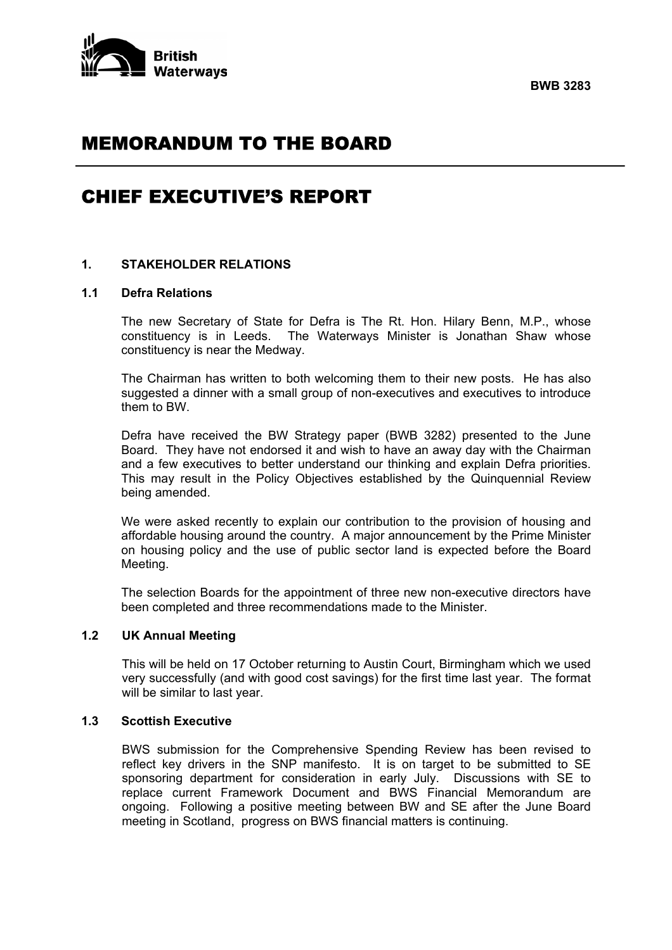

# MEMORANDUM TO THE BOARD

# CHIEF EXECUTIVE'S REPORT

# **1. STAKEHOLDER RELATIONS**

#### **1.1 Defra Relations**

 The new Secretary of State for Defra is The Rt. Hon. Hilary Benn, M.P., whose constituency is in Leeds. The Waterways Minister is Jonathan Shaw whose constituency is near the Medway.

 The Chairman has written to both welcoming them to their new posts. He has also suggested a dinner with a small group of non-executives and executives to introduce them to BW.

 Defra have received the BW Strategy paper (BWB 3282) presented to the June Board. They have not endorsed it and wish to have an away day with the Chairman and a few executives to better understand our thinking and explain Defra priorities. This may result in the Policy Objectives established by the Quinquennial Review being amended.

 We were asked recently to explain our contribution to the provision of housing and affordable housing around the country. A major announcement by the Prime Minister on housing policy and the use of public sector land is expected before the Board Meeting.

 The selection Boards for the appointment of three new non-executive directors have been completed and three recommendations made to the Minister.

# **1.2 UK Annual Meeting**

 This will be held on 17 October returning to Austin Court, Birmingham which we used very successfully (and with good cost savings) for the first time last year. The format will be similar to last year.

# **1.3 Scottish Executive**

 BWS submission for the Comprehensive Spending Review has been revised to reflect key drivers in the SNP manifesto. It is on target to be submitted to SE sponsoring department for consideration in early July. Discussions with SE to replace current Framework Document and BWS Financial Memorandum are ongoing. Following a positive meeting between BW and SE after the June Board meeting in Scotland, progress on BWS financial matters is continuing.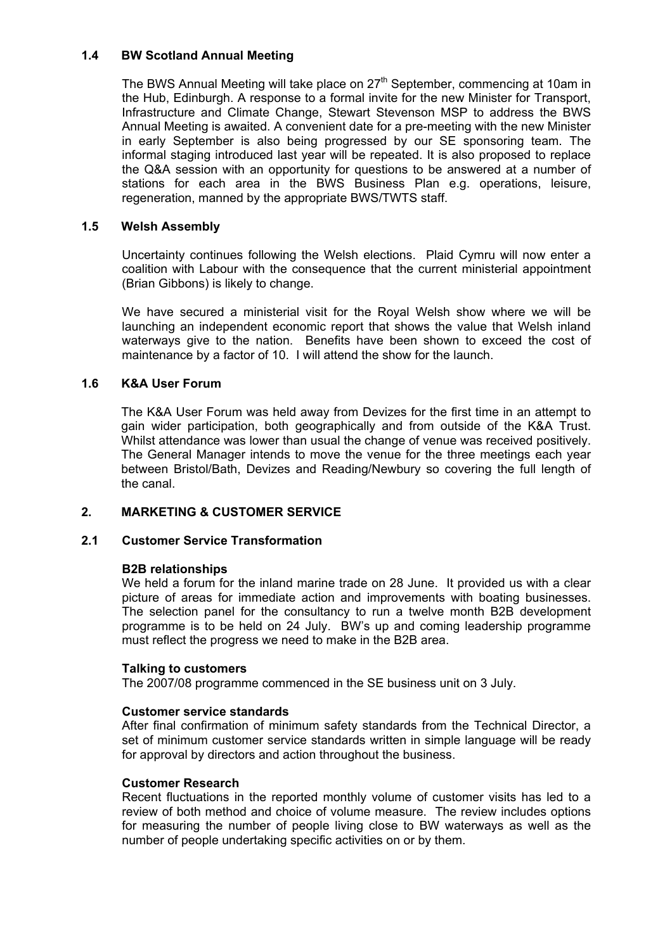# **1.4 BW Scotland Annual Meeting**

The BWS Annual Meeting will take place on 27<sup>th</sup> September, commencing at 10am in the Hub, Edinburgh. A response to a formal invite for the new Minister for Transport, Infrastructure and Climate Change, Stewart Stevenson MSP to address the BWS Annual Meeting is awaited. A convenient date for a pre-meeting with the new Minister in early September is also being progressed by our SE sponsoring team. The informal staging introduced last year will be repeated. It is also proposed to replace the Q&A session with an opportunity for questions to be answered at a number of stations for each area in the BWS Business Plan e.g. operations, leisure, regeneration, manned by the appropriate BWS/TWTS staff.

## **1.5 Welsh Assembly**

Uncertainty continues following the Welsh elections. Plaid Cymru will now enter a coalition with Labour with the consequence that the current ministerial appointment (Brian Gibbons) is likely to change.

We have secured a ministerial visit for the Royal Welsh show where we will be launching an independent economic report that shows the value that Welsh inland waterways give to the nation. Benefits have been shown to exceed the cost of maintenance by a factor of 10. I will attend the show for the launch.

## **1.6 K&A User Forum**

 The K&A User Forum was held away from Devizes for the first time in an attempt to gain wider participation, both geographically and from outside of the K&A Trust. Whilst attendance was lower than usual the change of venue was received positively. The General Manager intends to move the venue for the three meetings each year between Bristol/Bath, Devizes and Reading/Newbury so covering the full length of the canal.

## **2. MARKETING & CUSTOMER SERVICE**

## **2.1 Customer Service Transformation**

#### **B2B relationships**

 We held a forum for the inland marine trade on 28 June. It provided us with a clear picture of areas for immediate action and improvements with boating businesses. The selection panel for the consultancy to run a twelve month B2B development programme is to be held on 24 July. BW's up and coming leadership programme must reflect the progress we need to make in the B2B area.

#### **Talking to customers**

The 2007/08 programme commenced in the SE business unit on 3 July.

#### **Customer service standards**

 After final confirmation of minimum safety standards from the Technical Director, a set of minimum customer service standards written in simple language will be ready for approval by directors and action throughout the business.

#### **Customer Research**

 Recent fluctuations in the reported monthly volume of customer visits has led to a review of both method and choice of volume measure. The review includes options for measuring the number of people living close to BW waterways as well as the number of people undertaking specific activities on or by them.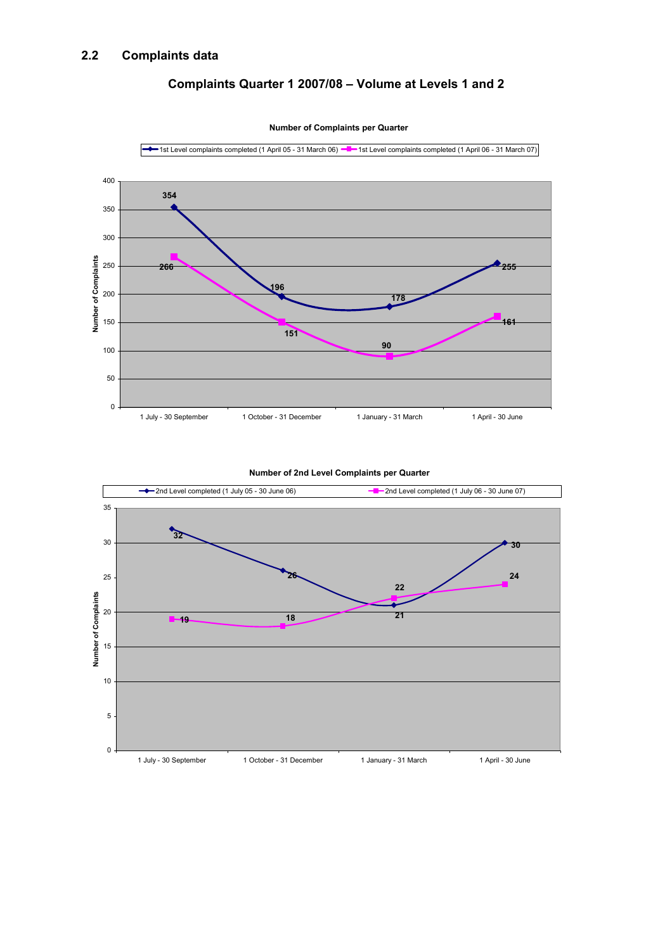# **Complaints Quarter 1 2007/08 – Volume at Levels 1 and 2**



**Number of Complaints per Quarter**



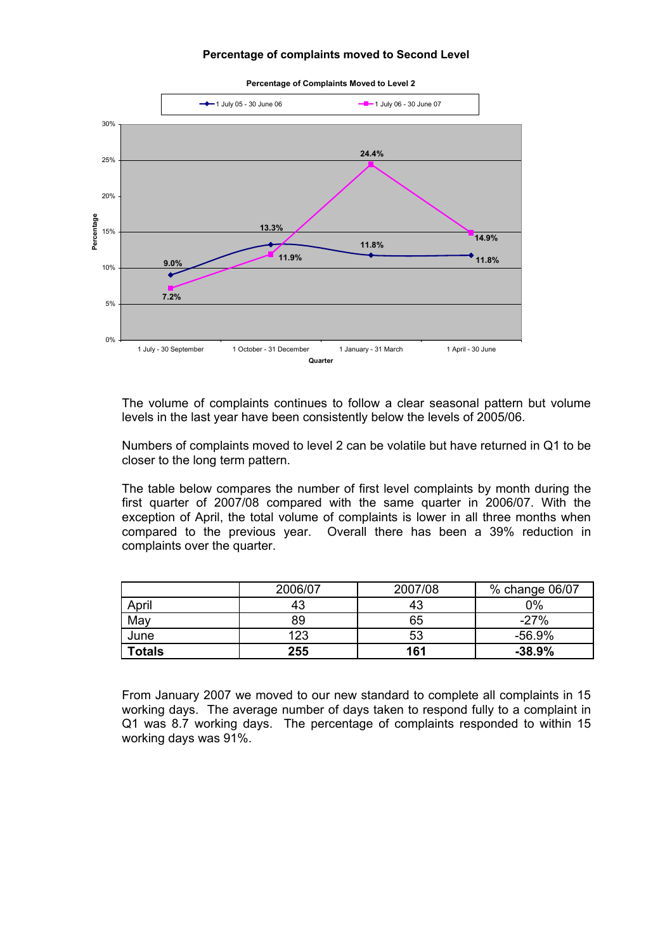#### **Percentage of complaints moved to Second Level**



 The volume of complaints continues to follow a clear seasonal pattern but volume levels in the last year have been consistently below the levels of 2005/06.

 Numbers of complaints moved to level 2 can be volatile but have returned in Q1 to be closer to the long term pattern.

 The table below compares the number of first level complaints by month during the first quarter of 2007/08 compared with the same quarter in 2006/07. With the exception of April, the total volume of complaints is lower in all three months when compared to the previous year. Overall there has been a 39% reduction in complaints over the quarter.

|               | 2006/07 | 2007/08 | % change 06/07 |
|---------------|---------|---------|----------------|
| April         | 43      | 43      | 0%             |
| May           | 89      | 65      | $-27%$         |
| June          | 123     | 53      | $-56.9%$       |
| <b>Totals</b> | 255     | 161     | $-38.9%$       |

 From January 2007 we moved to our new standard to complete all complaints in 15 working days. The average number of days taken to respond fully to a complaint in Q1 was 8.7 working days. The percentage of complaints responded to within 15 working days was 91%.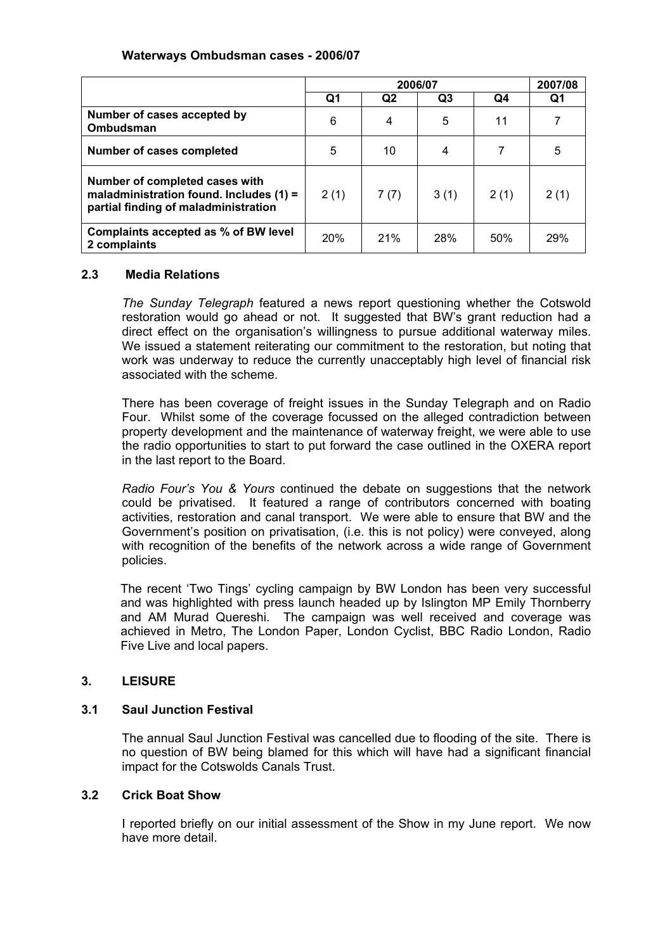# **Waterways Ombudsman cases - 2006/07**

|                                                                                                                     | 2006/07    |      |      | 2007/08 |      |
|---------------------------------------------------------------------------------------------------------------------|------------|------|------|---------|------|
|                                                                                                                     | Q1         | Q2   | Q3   | Q4      | Q1   |
| Number of cases accepted by<br>Ombudsman                                                                            | 6          | 4    | 5    | 11      |      |
| Number of cases completed                                                                                           | 5          | 10   | 4    |         | 5    |
| Number of completed cases with<br>maladministration found. Includes $(1)$ =<br>partial finding of maladministration | 2(1)       | 7(7) | 3(1) | 2(1)    | 2(1) |
| Complaints accepted as % of BW level<br>2 complaints                                                                | <b>20%</b> | 21%  | 28%  | 50%     | 29%  |

# **2.3 Media Relations**

 *The Sunday Telegraph* featured a news report questioning whether the Cotswold restoration would go ahead or not. It suggested that BW's grant reduction had a direct effect on the organisation's willingness to pursue additional waterway miles. We issued a statement reiterating our commitment to the restoration, but noting that work was underway to reduce the currently unacceptably high level of financial risk associated with the scheme.

 There has been coverage of freight issues in the Sunday Telegraph and on Radio Four. Whilst some of the coverage focussed on the alleged contradiction between property development and the maintenance of waterway freight, we were able to use the radio opportunities to start to put forward the case outlined in the OXERA report in the last report to the Board.

 *Radio Four's You & Yours* continued the debate on suggestions that the network could be privatised. It featured a range of contributors concerned with boating activities, restoration and canal transport. We were able to ensure that BW and the Government's position on privatisation, (i.e. this is not policy) were conveyed, along with recognition of the benefits of the network across a wide range of Government policies.

 The recent 'Two Tings' cycling campaign by BW London has been very successful and was highlighted with press launch headed up by Islington MP Emily Thornberry and AM Murad Quereshi. The campaign was well received and coverage was achieved in Metro, The London Paper, London Cyclist, BBC Radio London, Radio Five Live and local papers.

# **3. LEISURE**

# **3.1 Saul Junction Festival**

The annual Saul Junction Festival was cancelled due to flooding of the site. There is no question of BW being blamed for this which will have had a significant financial impact for the Cotswolds Canals Trust.

# **3.2 Crick Boat Show**

 I reported briefly on our initial assessment of the Show in my June report. We now have more detail.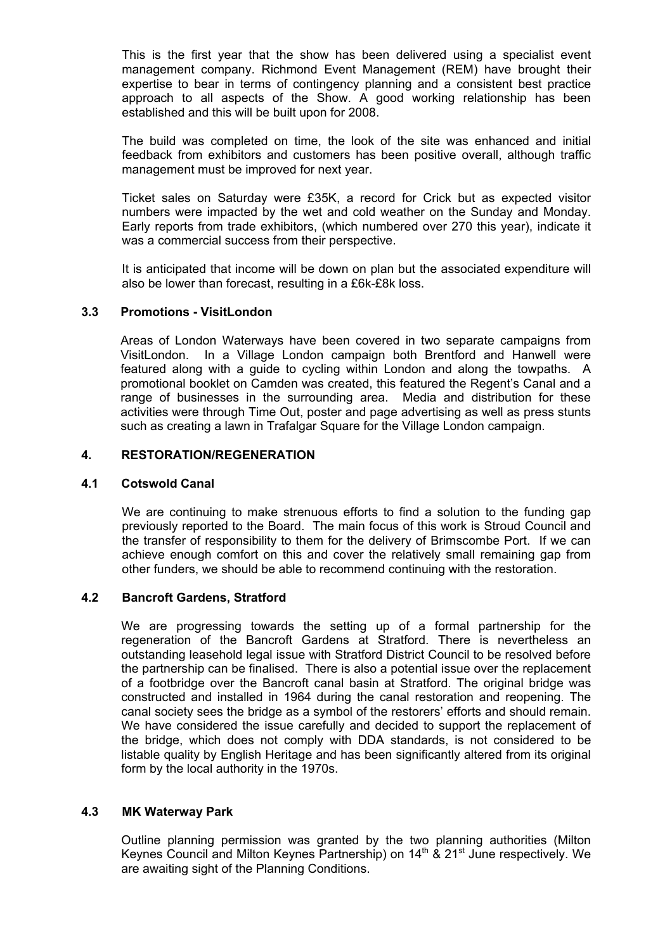This is the first year that the show has been delivered using a specialist event management company. Richmond Event Management (REM) have brought their expertise to bear in terms of contingency planning and a consistent best practice approach to all aspects of the Show. A good working relationship has been established and this will be built upon for 2008.

The build was completed on time, the look of the site was enhanced and initial feedback from exhibitors and customers has been positive overall, although traffic management must be improved for next year.

Ticket sales on Saturday were £35K, a record for Crick but as expected visitor numbers were impacted by the wet and cold weather on the Sunday and Monday. Early reports from trade exhibitors, (which numbered over 270 this year), indicate it was a commercial success from their perspective.

It is anticipated that income will be down on plan but the associated expenditure will also be lower than forecast, resulting in a £6k-£8k loss.

## **3.3 Promotions - VisitLondon**

 Areas of London Waterways have been covered in two separate campaigns from VisitLondon. In a Village London campaign both Brentford and Hanwell were featured along with a guide to cycling within London and along the towpaths. A promotional booklet on Camden was created, this featured the Regent's Canal and a range of businesses in the surrounding area. Media and distribution for these activities were through Time Out, poster and page advertising as well as press stunts such as creating a lawn in Trafalgar Square for the Village London campaign.

## **4. RESTORATION/REGENERATION**

#### **4.1 Cotswold Canal**

 We are continuing to make strenuous efforts to find a solution to the funding gap previously reported to the Board. The main focus of this work is Stroud Council and the transfer of responsibility to them for the delivery of Brimscombe Port. If we can achieve enough comfort on this and cover the relatively small remaining gap from other funders, we should be able to recommend continuing with the restoration.

# **4.2 Bancroft Gardens, Stratford**

 We are progressing towards the setting up of a formal partnership for the regeneration of the Bancroft Gardens at Stratford. There is nevertheless an outstanding leasehold legal issue with Stratford District Council to be resolved before the partnership can be finalised. There is also a potential issue over the replacement of a footbridge over the Bancroft canal basin at Stratford. The original bridge was constructed and installed in 1964 during the canal restoration and reopening. The canal society sees the bridge as a symbol of the restorers' efforts and should remain. We have considered the issue carefully and decided to support the replacement of the bridge, which does not comply with DDA standards, is not considered to be listable quality by English Heritage and has been significantly altered from its original form by the local authority in the 1970s.

## **4.3 MK Waterway Park**

 Outline planning permission was granted by the two planning authorities (Milton Keynes Council and Milton Keynes Partnership) on 14<sup>th</sup> & 21<sup>st</sup> June respectively. We are awaiting sight of the Planning Conditions.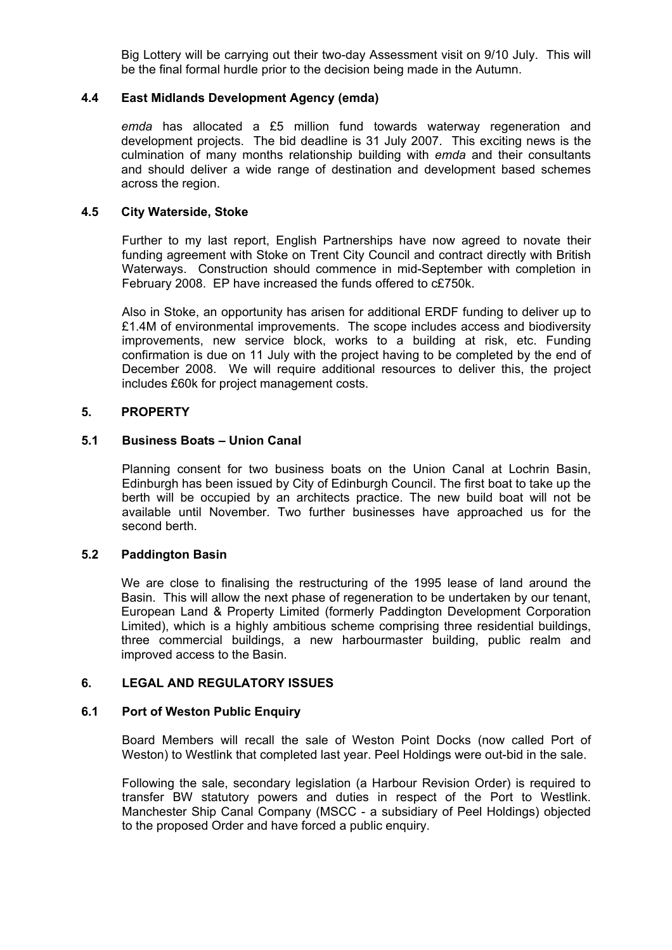Big Lottery will be carrying out their two-day Assessment visit on 9/10 July. This will be the final formal hurdle prior to the decision being made in the Autumn.

## **4.4 East Midlands Development Agency (emda)**

*emda* has allocated a £5 million fund towards waterway regeneration and development projects. The bid deadline is 31 July 2007. This exciting news is the culmination of many months relationship building with *emda* and their consultants and should deliver a wide range of destination and development based schemes across the region.

#### **4.5 City Waterside, Stoke**

 Further to my last report, English Partnerships have now agreed to novate their funding agreement with Stoke on Trent City Council and contract directly with British Waterways. Construction should commence in mid-September with completion in February 2008. EP have increased the funds offered to c£750k.

 Also in Stoke, an opportunity has arisen for additional ERDF funding to deliver up to £1.4M of environmental improvements. The scope includes access and biodiversity improvements, new service block, works to a building at risk, etc. Funding confirmation is due on 11 July with the project having to be completed by the end of December 2008. We will require additional resources to deliver this, the project includes £60k for project management costs.

## **5. PROPERTY**

## **5.1 Business Boats – Union Canal**

 Planning consent for two business boats on the Union Canal at Lochrin Basin, Edinburgh has been issued by City of Edinburgh Council. The first boat to take up the berth will be occupied by an architects practice. The new build boat will not be available until November. Two further businesses have approached us for the second berth.

#### **5.2 Paddington Basin**

 We are close to finalising the restructuring of the 1995 lease of land around the Basin. This will allow the next phase of regeneration to be undertaken by our tenant, European Land & Property Limited (formerly Paddington Development Corporation Limited), which is a highly ambitious scheme comprising three residential buildings, three commercial buildings, a new harbourmaster building, public realm and improved access to the Basin.

#### **6. LEGAL AND REGULATORY ISSUES**

#### **6.1 Port of Weston Public Enquiry**

 Board Members will recall the sale of Weston Point Docks (now called Port of Weston) to Westlink that completed last year. Peel Holdings were out-bid in the sale.

 Following the sale, secondary legislation (a Harbour Revision Order) is required to transfer BW statutory powers and duties in respect of the Port to Westlink. Manchester Ship Canal Company (MSCC - a subsidiary of Peel Holdings) objected to the proposed Order and have forced a public enquiry.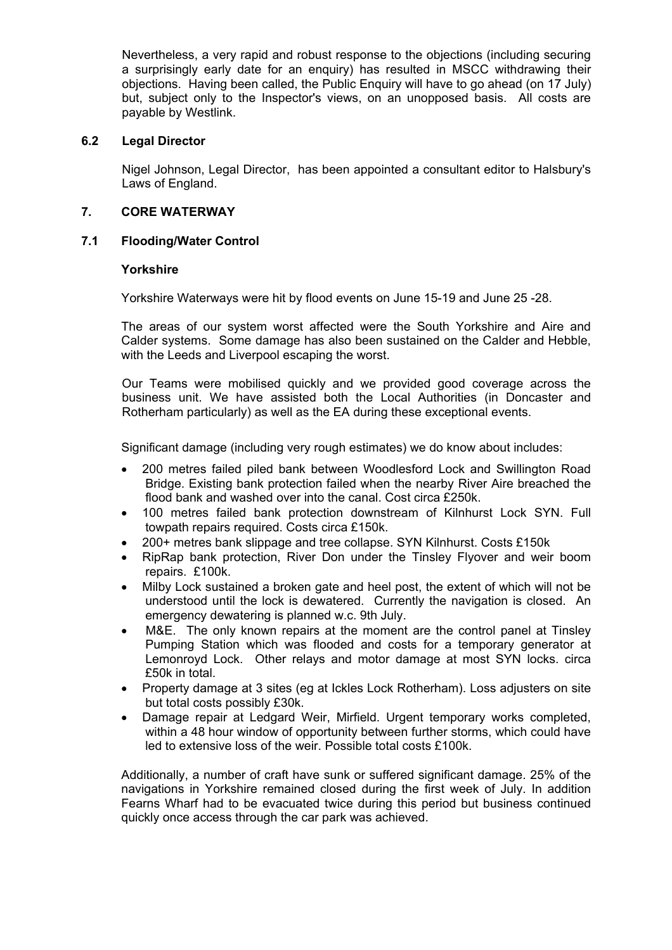Nevertheless, a very rapid and robust response to the objections (including securing a surprisingly early date for an enquiry) has resulted in MSCC withdrawing their objections. Having been called, the Public Enquiry will have to go ahead (on 17 July) but, subject only to the Inspector's views, on an unopposed basis. All costs are payable by Westlink.

# **6.2 Legal Director**

 Nigel Johnson, Legal Director, has been appointed a consultant editor to Halsbury's Laws of England.

## **7. CORE WATERWAY**

## **7.1 Flooding/Water Control**

## **Yorkshire**

Yorkshire Waterways were hit by flood events on June 15-19 and June 25 -28.

 The areas of our system worst affected were the South Yorkshire and Aire and Calder systems. Some damage has also been sustained on the Calder and Hebble, with the Leeds and Liverpool escaping the worst.

 Our Teams were mobilised quickly and we provided good coverage across the business unit. We have assisted both the Local Authorities (in Doncaster and Rotherham particularly) as well as the EA during these exceptional events.

Significant damage (including very rough estimates) we do know about includes:

- 200 metres failed piled bank between Woodlesford Lock and Swillington Road Bridge. Existing bank protection failed when the nearby River Aire breached the flood bank and washed over into the canal. Cost circa £250k.
- 100 metres failed bank protection downstream of Kilnhurst Lock SYN. Full towpath repairs required. Costs circa £150k.
- 200+ metres bank slippage and tree collapse. SYN Kilnhurst. Costs £150k
- RipRap bank protection, River Don under the Tinsley Flyover and weir boom repairs. £100k.
- Milby Lock sustained a broken gate and heel post, the extent of which will not be understood until the lock is dewatered. Currently the navigation is closed. An emergency dewatering is planned w.c. 9th July.
- M&E. The only known repairs at the moment are the control panel at Tinsley Pumping Station which was flooded and costs for a temporary generator at Lemonroyd Lock. Other relays and motor damage at most SYN locks. circa £50k in total.
- Property damage at 3 sites (eg at Ickles Lock Rotherham). Loss adjusters on site but total costs possibly £30k.
- Damage repair at Ledgard Weir, Mirfield. Urgent temporary works completed, within a 48 hour window of opportunity between further storms, which could have led to extensive loss of the weir. Possible total costs £100k.

 Additionally, a number of craft have sunk or suffered significant damage. 25% of the navigations in Yorkshire remained closed during the first week of July. In addition Fearns Wharf had to be evacuated twice during this period but business continued quickly once access through the car park was achieved.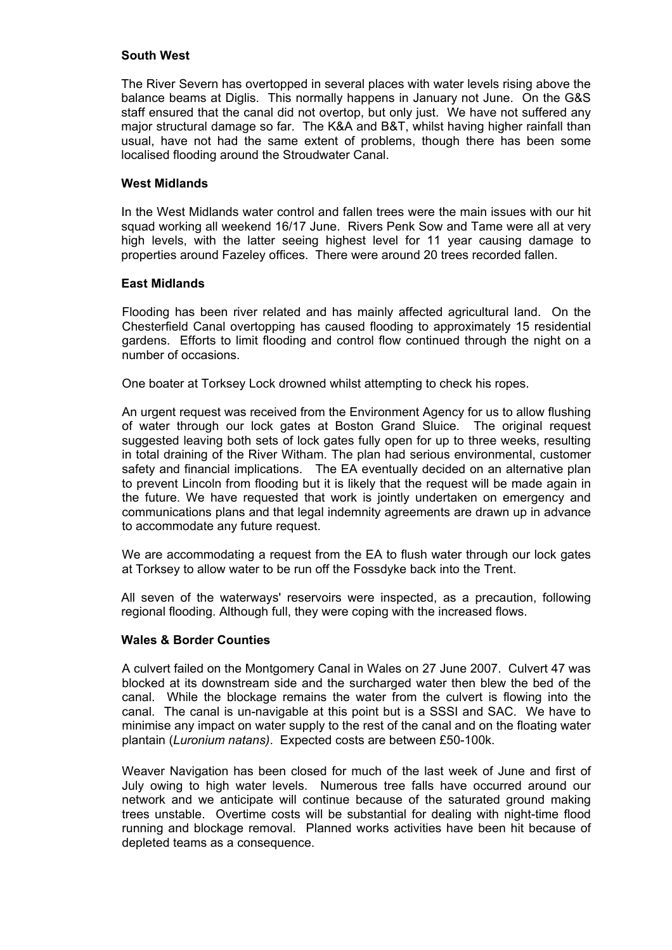## **South West**

 The River Severn has overtopped in several places with water levels rising above the balance beams at Diglis. This normally happens in January not June. On the G&S staff ensured that the canal did not overtop, but only just. We have not suffered any major structural damage so far. The K&A and B&T, whilst having higher rainfall than usual, have not had the same extent of problems, though there has been some localised flooding around the Stroudwater Canal.

## **West Midlands**

 In the West Midlands water control and fallen trees were the main issues with our hit squad working all weekend 16/17 June. Rivers Penk Sow and Tame were all at very high levels, with the latter seeing highest level for 11 year causing damage to properties around Fazeley offices. There were around 20 trees recorded fallen.

## **East Midlands**

 Flooding has been river related and has mainly affected agricultural land. On the Chesterfield Canal overtopping has caused flooding to approximately 15 residential gardens. Efforts to limit flooding and control flow continued through the night on a number of occasions.

One boater at Torksey Lock drowned whilst attempting to check his ropes.

 An urgent request was received from the Environment Agency for us to allow flushing of water through our lock gates at Boston Grand Sluice. The original request suggested leaving both sets of lock gates fully open for up to three weeks, resulting in total draining of the River Witham. The plan had serious environmental, customer safety and financial implications. The EA eventually decided on an alternative plan to prevent Lincoln from flooding but it is likely that the request will be made again in the future. We have requested that work is jointly undertaken on emergency and communications plans and that legal indemnity agreements are drawn up in advance to accommodate any future request.

 We are accommodating a request from the EA to flush water through our lock gates at Torksey to allow water to be run off the Fossdyke back into the Trent.

 All seven of the waterways' reservoirs were inspected, as a precaution, following regional flooding. Although full, they were coping with the increased flows.

#### **Wales & Border Counties**

 A culvert failed on the Montgomery Canal in Wales on 27 June 2007. Culvert 47 was blocked at its downstream side and the surcharged water then blew the bed of the canal. While the blockage remains the water from the culvert is flowing into the canal. The canal is un-navigable at this point but is a SSSI and SAC. We have to minimise any impact on water supply to the rest of the canal and on the floating water plantain (*Luronium natans)*. Expected costs are between £50-100k.

Weaver Navigation has been closed for much of the last week of June and first of July owing to high water levels. Numerous tree falls have occurred around our network and we anticipate will continue because of the saturated ground making trees unstable. Overtime costs will be substantial for dealing with night-time flood running and blockage removal. Planned works activities have been hit because of depleted teams as a consequence.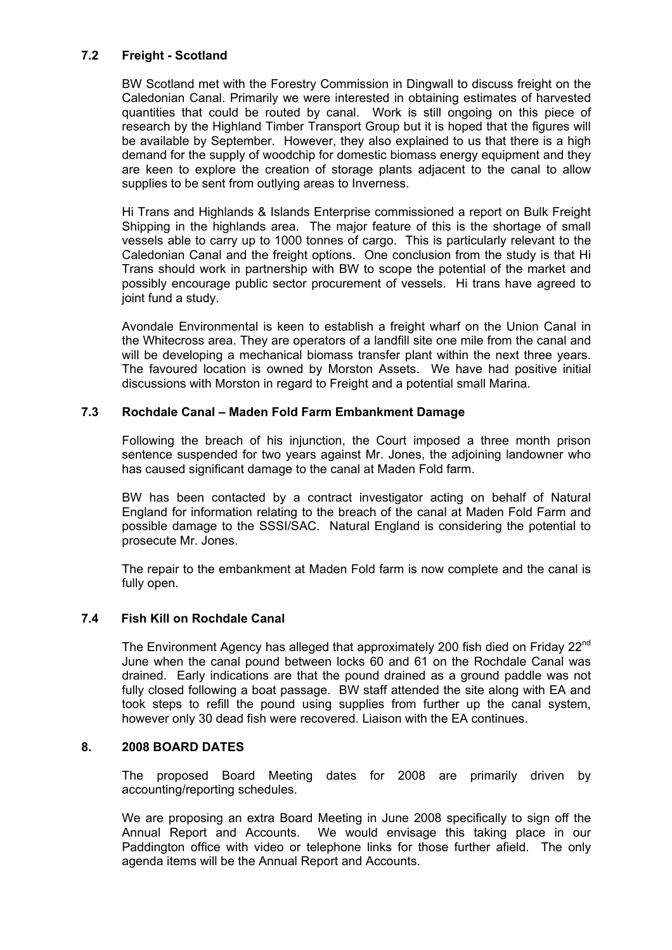# **7.2 Freight - Scotland**

 BW Scotland met with the Forestry Commission in Dingwall to discuss freight on the Caledonian Canal. Primarily we were interested in obtaining estimates of harvested quantities that could be routed by canal. Work is still ongoing on this piece of research by the Highland Timber Transport Group but it is hoped that the figures will be available by September. However, they also explained to us that there is a high demand for the supply of woodchip for domestic biomass energy equipment and they are keen to explore the creation of storage plants adjacent to the canal to allow supplies to be sent from outlying areas to Inverness.

 Hi Trans and Highlands & Islands Enterprise commissioned a report on Bulk Freight Shipping in the highlands area. The major feature of this is the shortage of small vessels able to carry up to 1000 tonnes of cargo. This is particularly relevant to the Caledonian Canal and the freight options. One conclusion from the study is that Hi Trans should work in partnership with BW to scope the potential of the market and possibly encourage public sector procurement of vessels. Hi trans have agreed to joint fund a study.

 Avondale Environmental is keen to establish a freight wharf on the Union Canal in the Whitecross area. They are operators of a landfill site one mile from the canal and will be developing a mechanical biomass transfer plant within the next three years. The favoured location is owned by Morston Assets. We have had positive initial discussions with Morston in regard to Freight and a potential small Marina.

# **7.3 Rochdale Canal – Maden Fold Farm Embankment Damage**

Following the breach of his injunction, the Court imposed a three month prison sentence suspended for two years against Mr. Jones, the adjoining landowner who has caused significant damage to the canal at Maden Fold farm.

BW has been contacted by a contract investigator acting on behalf of Natural England for information relating to the breach of the canal at Maden Fold Farm and possible damage to the SSSI/SAC. Natural England is considering the potential to prosecute Mr. Jones.

The repair to the embankment at Maden Fold farm is now complete and the canal is fully open.

# **7.4 Fish Kill on Rochdale Canal**

The Environment Agency has alleged that approximately 200 fish died on Friday 22<sup>nd</sup> June when the canal pound between locks 60 and 61 on the Rochdale Canal was drained. Early indications are that the pound drained as a ground paddle was not fully closed following a boat passage. BW staff attended the site along with EA and took steps to refill the pound using supplies from further up the canal system, however only 30 dead fish were recovered. Liaison with the EA continues.

# **8. 2008 BOARD DATES**

 The proposed Board Meeting dates for 2008 are primarily driven by accounting/reporting schedules.

 We are proposing an extra Board Meeting in June 2008 specifically to sign off the Annual Report and Accounts. We would envisage this taking place in our Paddington office with video or telephone links for those further afield. The only agenda items will be the Annual Report and Accounts.